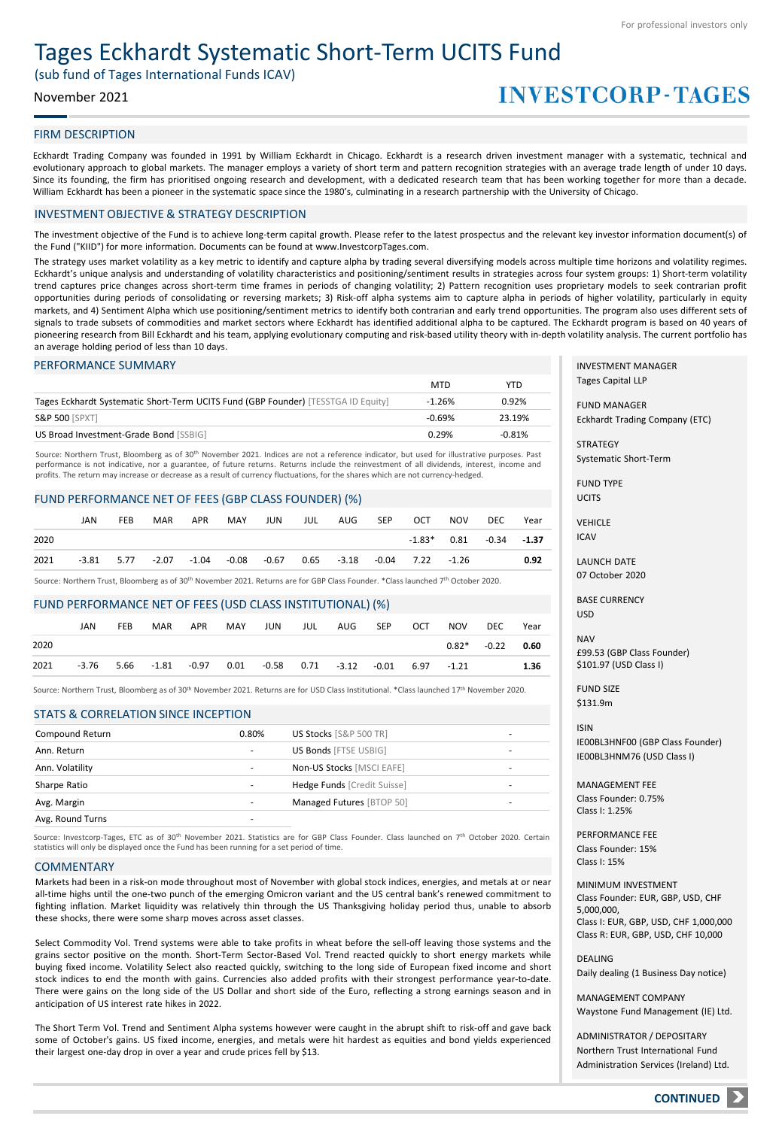# Tages Eckhardt Systematic Short-Term UCITS Fund

(sub fund of Tages International Funds ICAV)

## November 2021

# **INVESTCORP-TAGES**

## FIRM DESCRIPTION

Eckhardt Trading Company was founded in 1991 by William Eckhardt in Chicago. Eckhardt is a research driven investment manager with a systematic, technical and evolutionary approach to global markets. The manager employs a variety of short term and pattern recognition strategies with an average trade length of under 10 days. Since its founding, the firm has prioritised ongoing research and development, with a dedicated research team that has been working together for more than a decade. William Eckhardt has been a pioneer in the systematic space since the 1980's, culminating in a research partnership with the University of Chicago.

### INVESTMENT OBJECTIVE & STRATEGY DESCRIPTION

The investment objective of the Fund is to achieve long-term capital growth. Please refer to the latest prospectus and the relevant key investor information document(s) of the Fund ("KIID") for more information. Documents can be found at www.InvestcorpTages.com.

The strategy uses market volatility as a key metric to identify and capture alpha by trading several diversifying models across multiple time horizons and volatility regimes. Eckhardt's unique analysis and understanding of volatility characteristics and positioning/sentiment results in strategies across four system groups: 1) Short-term volatility trend captures price changes across short-term time frames in periods of changing volatility; 2) Pattern recognition uses proprietary models to seek contrarian profit opportunities during periods of consolidating or reversing markets; 3) Risk-off alpha systems aim to capture alpha in periods of higher volatility, particularly in equity markets, and 4) Sentiment Alpha which use positioning/sentiment metrics to identify both contrarian and early trend opportunities. The program also uses different sets of signals to trade subsets of commodities and market sectors where Eckhardt has identified additional alpha to be captured. The Eckhardt program is based on 40 years of pioneering research from Bill Eckhardt and his team, applying evolutionary computing and risk-based utility theory with in-depth volatility analysis. The current portfolio has an average holding period of less than 10 days.

### PERFORMANCE SUMMARY

|                                                                                   | <b>MTD</b> | YTD      |
|-----------------------------------------------------------------------------------|------------|----------|
| Tages Eckhardt Systematic Short-Term UCITS Fund (GBP Founder) [TESSTGA ID Equity] | $-1.26%$   | 0.92%    |
| <b>S&amp;P 500 [SPXT]</b>                                                         | $-0.69%$   | 23.19%   |
| US Broad Investment-Grade Bond [SSBIG]                                            | 0.29%      | $-0.81%$ |

Source: Northern Trust, Bloomberg as of 30<sup>th</sup> November 2021. Indices are not a reference indicator, but used for illustrative purposes. Past performance is not indicative, nor a guarantee, of future returns. Returns include the reinvestment of all dividends, interest, income and profits. The return may increase or decrease as a result of currency fluctuations, for the shares which are not currency-hedged.

#### FUND PERFORMANCE NET OF FEES (GBP CLASS FOUNDER) (%)

|      | JAN          | <b>FEB</b> | <b>MAR</b> | <b>APR</b> | MAY | JUN | JUL | AUG | <b>SEP</b> | OCT                                                                   | NOV | DEC.                        | Year |
|------|--------------|------------|------------|------------|-----|-----|-----|-----|------------|-----------------------------------------------------------------------|-----|-----------------------------|------|
| 2020 |              |            |            |            |     |     |     |     |            |                                                                       |     | $-1.83*$ 0.81 $-0.34$ -1.37 |      |
| 2021 | $-3.81$ 5.77 |            |            |            |     |     |     |     |            | $-2.07$ $-1.04$ $-0.08$ $-0.67$ $0.65$ $-3.18$ $-0.04$ $7.22$ $-1.26$ |     |                             | 0.92 |

Source: Northern Trust, Bloomberg as of 30<sup>th</sup> November 2021. Returns are for GBP Class Founder. \*Class launched 7<sup>th</sup> October 2020.

#### FUND PERFORMANCE NET OF FEES (USD CLASS INSTITUTIONAL) (%)

|      | JAN | <b>FEB</b> | <b>MAR</b> | APR | <b>MAY</b> | JUN                                                                         | JULION | AUG SEP |  | OCT | NOV     | DEC     | Year |
|------|-----|------------|------------|-----|------------|-----------------------------------------------------------------------------|--------|---------|--|-----|---------|---------|------|
| 2020 |     |            |            |     |            |                                                                             |        |         |  |     | $0.82*$ | $-0.22$ | 0.60 |
| 2021 |     |            |            |     |            | $-3.76$ 5.66 $-1.81$ $-0.97$ 0.01 $-0.58$ 0.71 $-3.12$ $-0.01$ 6.97 $-1.21$ |        |         |  |     |         |         | 1.36 |
|      |     |            |            |     |            |                                                                             |        |         |  |     |         |         |      |

Source: Northern Trust, Bloomberg as of 30<sup>th</sup> November 2021. Returns are for USD Class Institutional. \*Class launched 17<sup>th</sup> November 2020.

#### STATS & CORRELATION SINCE INCEPTION

| Compound Return  | 0.80%          | US Stocks [S&P 500 TR]      | $\blacksquare$ |
|------------------|----------------|-----------------------------|----------------|
| Ann. Return      | -              | US Bonds [FTSE USBIG]       | -              |
| Ann. Volatility  | $\blacksquare$ | Non-US Stocks [MSCI EAFE]   | -              |
| Sharpe Ratio     | -              | Hedge Funds [Credit Suisse] | -              |
| Avg. Margin      | -              | Managed Futures [BTOP 50]   | -              |
| Avg. Round Turns | -              |                             |                |

Source: Investcorp-Tages, ETC as of 30<sup>th</sup> November 2021. Statistics are for GBP Class Founder. Class launched on 7<sup>th</sup> October 2020. Certain statistics will only be displayed once the Fund has been running for a set period of time.

#### **COMMENTARY**

Markets had been in a risk-on mode throughout most of November with global stock indices, energies, and metals at or near all-time highs until the one-two punch of the emerging Omicron variant and the US central bank's renewed commitment to fighting inflation. Market liquidity was relatively thin through the US Thanksgiving holiday period thus, unable to absorb these shocks, there were some sharp moves across asset classes.

Select Commodity Vol. Trend systems were able to take profits in wheat before the sell-off leaving those systems and the grains sector positive on the month. Short-Term Sector-Based Vol. Trend reacted quickly to short energy markets while buying fixed income. Volatility Select also reacted quickly, switching to the long side of European fixed income and short stock indices to end the month with gains. Currencies also added profits with their strongest performance year-to-date. There were gains on the long side of the US Dollar and short side of the Euro, reflecting a strong earnings season and in anticipation of US interest rate hikes in 2022.

The Short Term Vol. Trend and Sentiment Alpha systems however were caught in the abrupt shift to risk-off and gave back some of October's gains. US fixed income, energies, and metals were hit hardest as equities and bond yields experienced their largest one-day drop in over a year and crude prices fell by \$13.

INVESTMENT MANAGER Tages Capital LLP

FUND MANAGER Eckhardt Trading Company (ETC)

**STRATEGY** Systematic Short-Term

FUND TYPE UCITS

VEHICLE ICAV

LAUNCH DATE 07 October 2020

BASE CURRENCY USD

**NAV** £99.53 (GBP Class Founder) \$101.97 (USD Class I)

FUND SIZE \$131.9m

ISIN IE00BL3HNF00 (GBP Class Founder) IE00BL3HNM76 (USD Class I)

MANAGEMENT FEE Class Founder: 0.75% Class I: 1.25%

PERFORMANCE FEE Class Founder: 15% Class I: 15%

MINIMUM INVESTMENT Class Founder: EUR, GBP, USD, CHF 5,000,000, Class I: EUR, GBP, USD, CHF 1,000,000 Class R: EUR, GBP, USD, CHF 10,000

DEALING Daily dealing (1 Business Day notice)

MANAGEMENT COMPANY Waystone Fund Management (IE) Ltd.

ADMINISTRATOR / DEPOSITARY Northern Trust International Fund Administration Services (Ireland) Ltd.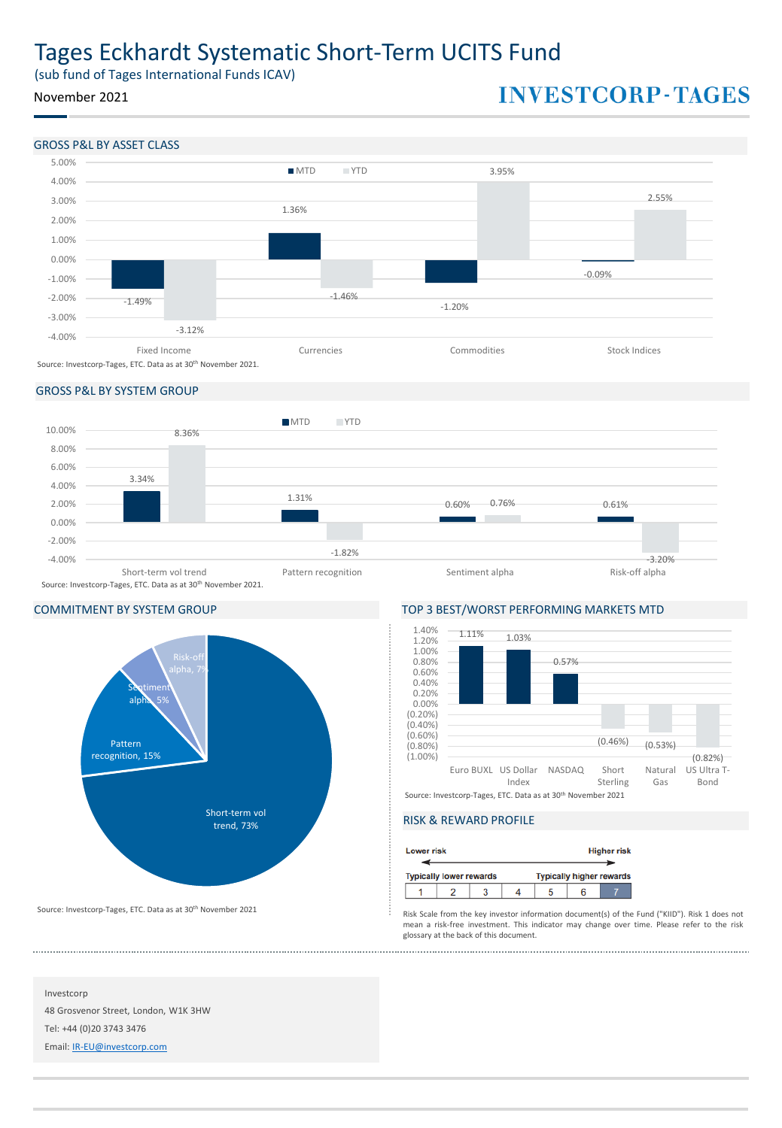# Tages Eckhardt Systematic Short-Term UCITS Fund

(sub fund of Tages International Funds ICAV)

# November 2021

# **INVESTCORP-TAGES**

### GROSS P&L BY ASSET CLASS



# GROSS P&L BY SYSTEM GROUP





Source: Investcorp-Tages, ETC. Data as at 30<sup>th</sup> November 2021

# COMMITMENT BY SYSTEM GROUP TOP 3 BEST/WORST PERFORMING MARKETS MTD



# RISK & REWARD PROFILE

| <b>Lower risk</b> |                                |  |                                 | <b>Higher risk</b> |
|-------------------|--------------------------------|--|---------------------------------|--------------------|
|                   | <b>Typically lower rewards</b> |  | <b>Typically higher rewards</b> |                    |
|                   |                                |  |                                 |                    |

Risk Scale from the key investor information document(s) of the Fund ("KIID"). Risk 1 does not mean a risk-free investment. This indicator may change over time. Please refer to the risk glossary at the back of this document.

Investcorp 48 Grosvenor Street, London, W1K 3HW Tel: +44 (0)20 3743 3476 Email: [IR-EU@investcorp.com](mailto:IR-EU@investcorp.com)